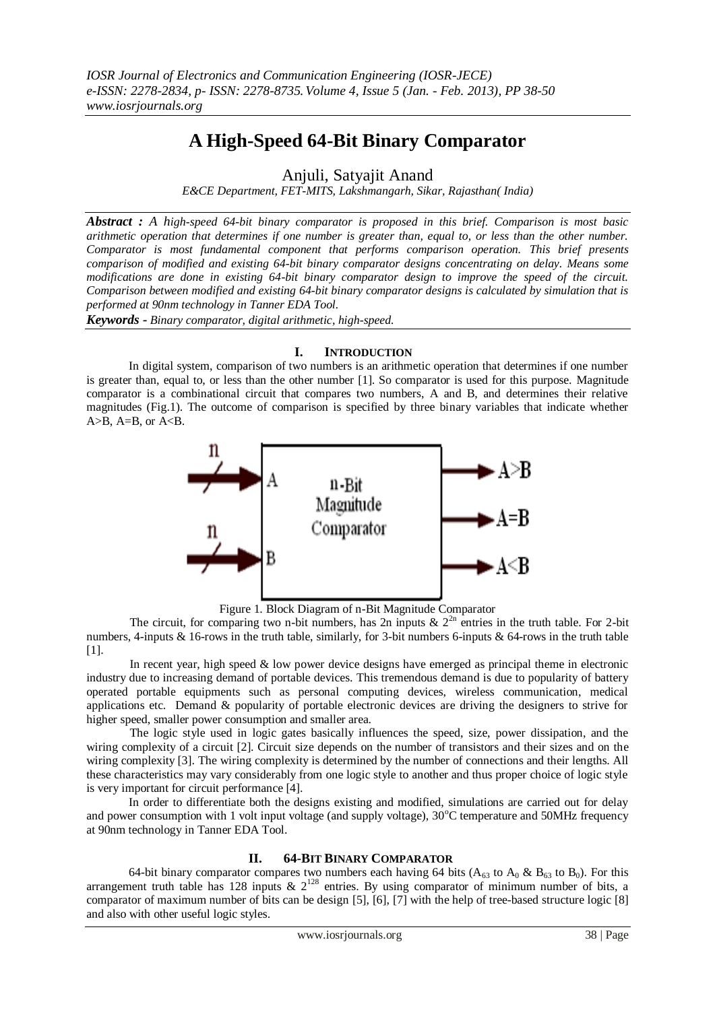# **A High-Speed 64-Bit Binary Comparator**

Anjuli, Satyajit Anand

*E&CE Department, FET-MITS, Lakshmangarh, Sikar, Rajasthan( India)*

*Abstract : A high-speed 64-bit binary comparator is proposed in this brief. Comparison is most basic arithmetic operation that determines if one number is greater than, equal to, or less than the other number. Comparator is most fundamental component that performs comparison operation. This brief presents comparison of modified and existing 64-bit binary comparator designs concentrating on delay. Means some modifications are done in existing 64-bit binary comparator design to improve the speed of the circuit. Comparison between modified and existing 64-bit binary comparator designs is calculated by simulation that is performed at 90nm technology in Tanner EDA Tool.* 

*Keywords - Binary comparator, digital arithmetic, high-speed.*

#### **I. INTRODUCTION**

 In digital system, comparison of two numbers is an arithmetic operation that determines if one number is greater than, equal to, or less than the other number [1]. So comparator is used for this purpose. Magnitude comparator is a combinational circuit that compares two numbers, A and B, and determines their relative magnitudes (Fig.1). The outcome of comparison is specified by three binary variables that indicate whether  $A>B$ ,  $A=B$ , or  $A.$ 



Figure 1. Block Diagram of n-Bit Magnitude Comparator

The circuit, for comparing two n-bit numbers, has 2n inputs &  $2^{2n}$  entries in the truth table. For 2-bit numbers, 4-inputs & 16-rows in the truth table, similarly, for 3-bit numbers 6-inputs & 64-rows in the truth table [1].

In recent year, high speed & low power device designs have emerged as principal theme in electronic industry due to increasing demand of portable devices. This tremendous demand is due to popularity of battery operated portable equipments such as personal computing devices, wireless communication, medical applications etc. Demand & popularity of portable electronic devices are driving the designers to strive for higher speed, smaller power consumption and smaller area.

The logic style used in logic gates basically influences the speed, size, power dissipation, and the wiring complexity of a circuit [2]. Circuit size depends on the number of transistors and their sizes and on the wiring complexity [3]. The wiring complexity is determined by the number of connections and their lengths. All these characteristics may vary considerably from one logic style to another and thus proper choice of logic style is very important for circuit performance [4].

 In order to differentiate both the designs existing and modified, simulations are carried out for delay and power consumption with 1 volt input voltage (and supply voltage), 30°C temperature and 50MHz frequency at 90nm technology in Tanner EDA Tool.

## **II. 64-BIT BINARY COMPARATOR**

64-bit binary comparator compares two numbers each having 64 bits ( $A_{63}$  to  $A_0 \& B_{63}$  to  $B_0$ ). For this arrangement truth table has 128 inputs  $\&$  2<sup>128</sup> entries. By using comparator of minimum number of bits, a comparator of maximum number of bits can be design [5], [6], [7] with the help of tree-based structure logic [8] and also with other useful logic styles.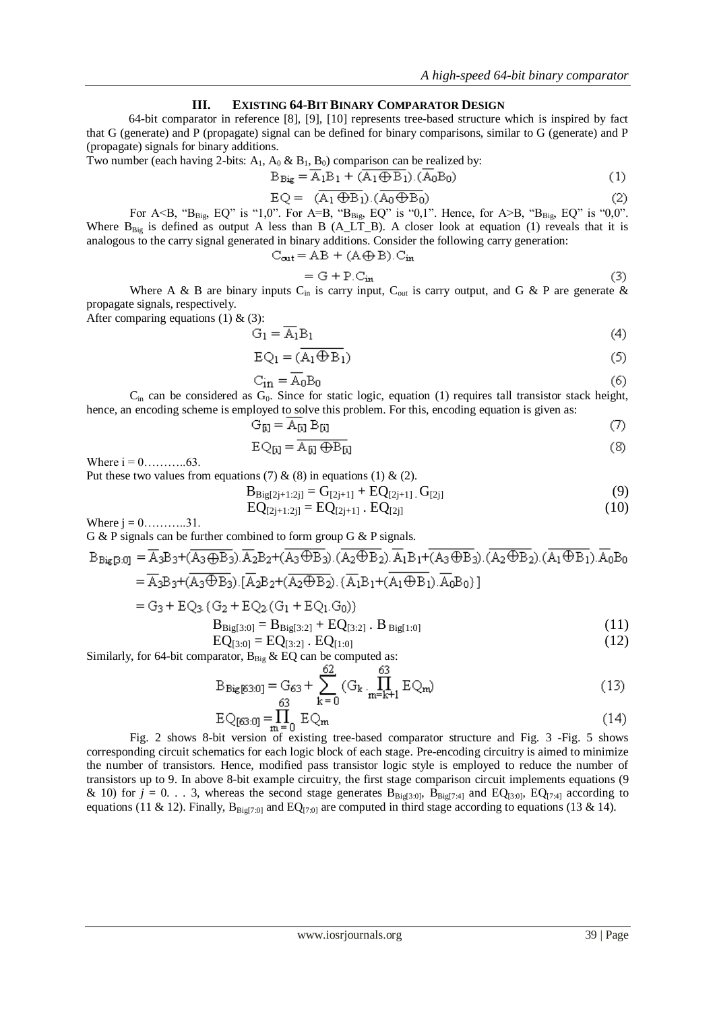#### **III. EXISTING 64-BIT BINARY COMPARATOR DESIGN**

 64-bit comparator in reference [8], [9], [10] represents tree-based structure which is inspired by fact that G (generate) and P (propagate) signal can be defined for binary comparisons, similar to G (generate) and P (propagate) signals for binary additions.

Two number (each having 2-bits:  $A_1$ ,  $A_0$  &  $B_1$ ,  $B_0$ ) comparison can be realized by:

$$
B_{\text{Big}} = \overline{A}_1 B_1 + (\overline{A_1 \oplus B_1}).(\overline{A_0} B_0)
$$
 (1)

$$
EQ = (\overline{A_1 \oplus B_1}) . (\overline{A_0 \oplus B_0})
$$
 (2)

For A<B, " $B_{\text{Big}}$ , EQ" is "1,0". For A=B, " $B_{\text{Big}}$ , EQ" is "0,1". Hence, for A>B, " $B_{\text{Big}}$ , EQ" is "0,0". Where  $B_{Big}$  is defined as output A less than B (A\_LT\_B). A closer look at equation (1) reveals that it is analogous to the carry signal generated in binary additions. Consider the following carry generation:

$$
C_{out} = AB + (A \oplus B).C_{in}
$$

$$
= G + P.C_{in}
$$
 (3)

Where A & B are binary inputs  $C_{in}$  is carry input,  $C_{out}$  is carry output, and G & P are generate & propagate signals, respectively.

After comparing equations (1)  $\&$  (3):

$$
G_1 = \overline{A_1} B_1 \tag{4}
$$

$$
EQ_1 = (A_1 \oplus B_1) \tag{5}
$$

$$
C_{\rm in} = \overline{A_0} B_0 \tag{6}
$$

 $C_{in}$  can be considered as  $G_0$ . Since for static logic, equation (1) requires tall transistor stack height, hence, an encoding scheme is employed to solve this problem. For this, encoding equation is given as:

$$
G_{[i]} = A_{[i]} B_{[i]}
$$
 (7)

$$
EQ_{[i]} = \overline{A_{[i]}\oplus B_{[i]}}
$$
 (8)

Where i = 0………..63.

Put these two values from equations (7)  $\&$  (8) in equations (1)  $\&$  (2).

$$
B_{\text{Big}[2j+1:2j]} = G_{[2j+1]} + EQ_{[2j+1]} \cdot G_{[2j]}
$$
\n(9)

$$
EQ_{[2j+1:2j]} = EQ_{[2j+1]} \cdot EQ_{[2j]}
$$
 (10)

Where  $j = 0$ ............31.

G & P signals can be further combined to form group G & P signals.

$$
B_{Big[3:0]} = \overline{A_3}B_3 + (A_3 \oplus B_3).\overline{A_2}B_2 + (A_3 \oplus B_3). (A_2 \oplus B_2). A_1B_1 + (A_3 \oplus B_3). (A_2 \oplus B_2). (A_1 \oplus B_1). A_0B_0
$$
  
\n
$$
= \overline{A_3}B_3 + (\overline{A_3} \oplus \overline{B_3}).[\overline{A_2}B_2 + (\overline{A_2} \oplus \overline{B_2}).\overline{(A_1}B_1 + (\overline{A_1} \oplus \overline{B_1}).\overline{A_0}B_0)]
$$
  
\n
$$
= G_3 + EQ_3.(G_2 + EQ_2.(G_1 + EQ_1.G_0))
$$
  
\n
$$
B_{Big[3:0]} = B_{Big[3:2]} + EQ_{[3:2]} \cdot B_{Big[1:0]}
$$
  
\n
$$
EQ_{B} = EQ_{B} - EQ_{B} \tag{12}
$$

$$
EQ[3:0] = EQ[3:2] . EQ[1:0]
$$
 (12)

Similarly, for 64-bit comparator,  $B_{Big}$  & EQ can be computed as:

$$
B_{\text{Big}[63:0]} = G_{63} + \sum_{k=0}^{62} (G_k \prod_{m=k+1}^{63} E Q_m)
$$
 (13)

$$
EQ_{[63:0]} = \prod_{m=0}^{1} EQ_m
$$
 (14)

Fig. 2 shows 8-bit version of existing tree-based comparator structure and Fig. 3 -Fig. 5 shows corresponding circuit schematics for each logic block of each stage. Pre-encoding circuitry is aimed to minimize the number of transistors. Hence, modified pass transistor logic style is employed to reduce the number of transistors up to 9. In above 8-bit example circuitry, the first stage comparison circuit implements equations (9 & 10) for  $j = 0$ . . . 3, whereas the second stage generates  $B_{\text{Big[3:0]}$ ,  $B_{\text{Big[7:4]}}$  and  $EQ_{\text{[3:0]}$ ,  $EQ_{\text{[7:4]}}$  according to equations (11 & 12). Finally,  $B_{\text{Big}(7,0)}$  and  $EQ_{(7,0)}$  are computed in third stage according to equations (13 & 14).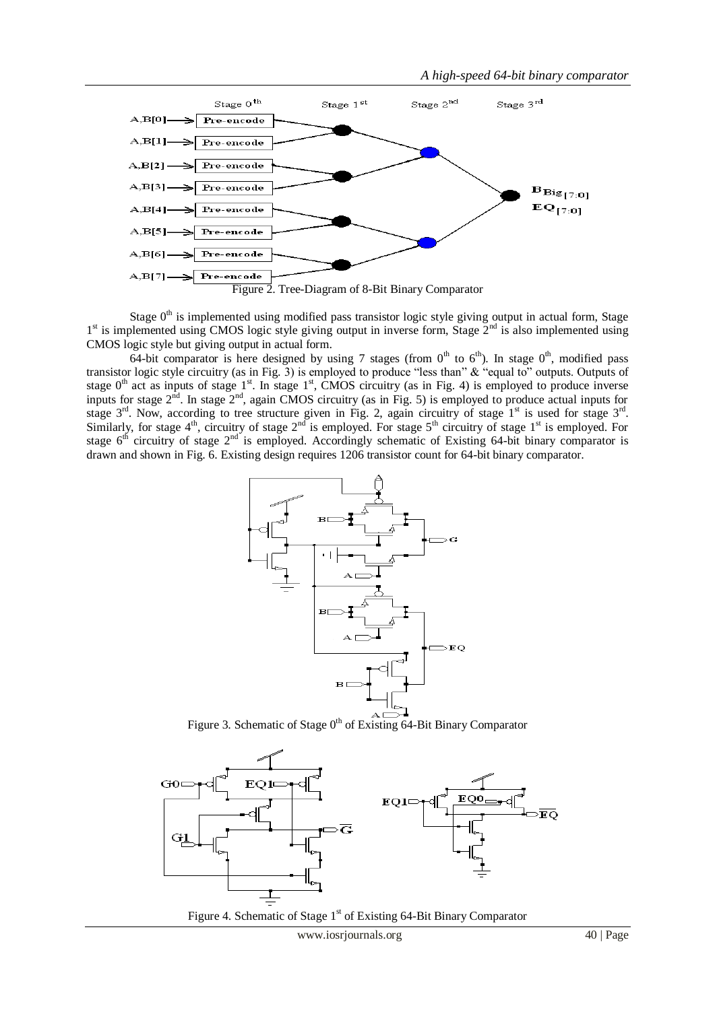

Stage  $0<sup>th</sup>$  is implemented using modified pass transistor logic style giving output in actual form, Stage 1<sup>st</sup> is implemented using CMOS logic style giving output in inverse form, Stage 2<sup>nd</sup> is also implemented using CMOS logic style but giving output in actual form.

64-bit comparator is here designed by using 7 stages (from  $0<sup>th</sup>$  to  $6<sup>th</sup>$ ). In stage  $0<sup>th</sup>$ , modified pass transistor logic style circuitry (as in Fig. 3) is employed to produce "less than" & "equal to" outputs. Outputs of stage  $0<sup>th</sup>$  act as inputs of stage  $1<sup>st</sup>$ . In stage  $1<sup>st</sup>$ , CMOS circuitry (as in Fig. 4) is employed to produce inverse inputs for stage  $2<sup>nd</sup>$ . In stage  $2<sup>nd</sup>$ , again CMOS circuitry (as in Fig. 5) is employed to produce actual inputs for stage  $3<sup>rd</sup>$ . Now, according to tree structure given in Fig. 2, again circuitry of stage  $1<sup>st</sup>$  is used for stage  $3<sup>rd</sup>$ . Similarly, for stage  $4<sup>th</sup>$ , circuitry of stage  $2<sup>nd</sup>$  is employed. For stage  $5<sup>th</sup>$  circuitry of stage  $1<sup>st</sup>$  is employed. For stage  $6<sup>th</sup>$  circuitry of stage  $2<sup>nd</sup>$  is employed. Accordingly schematic of Existing 64-bit binary comparator is drawn and shown in Fig. 6. Existing design requires 1206 transistor count for 64-bit binary comparator.



Figure 3. Schematic of Stage  $0<sup>th</sup>$  of Existing 64-Bit Binary Comparator



Figure 4. Schematic of Stage  $1<sup>st</sup>$  of Existing 64-Bit Binary Comparator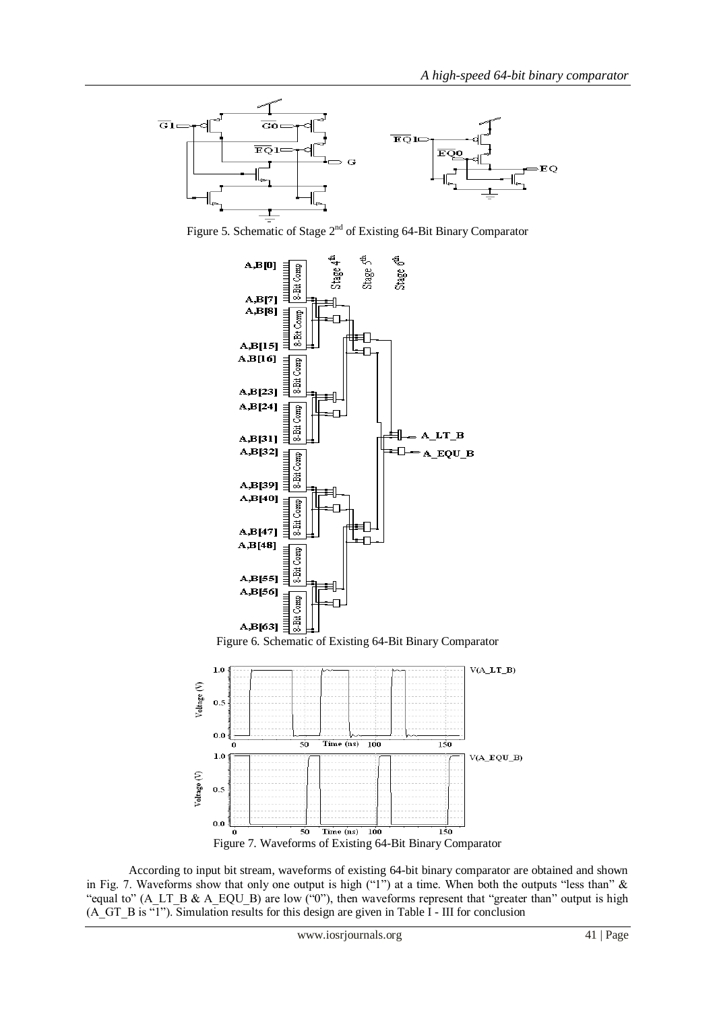

Figure 5. Schematic of Stage 2nd of Existing 64-Bit Binary Comparator







 According to input bit stream, waveforms of existing 64-bit binary comparator are obtained and shown in Fig. 7. Waveforms show that only one output is high ("1") at a time. When both the outputs "less than" & "equal to" (A\_LT\_B & A\_EQU\_B) are low ("0"), then waveforms represent that "greater than" output is high (A\_GT\_B is "1"). Simulation results for this design are given in Table I - III for conclusion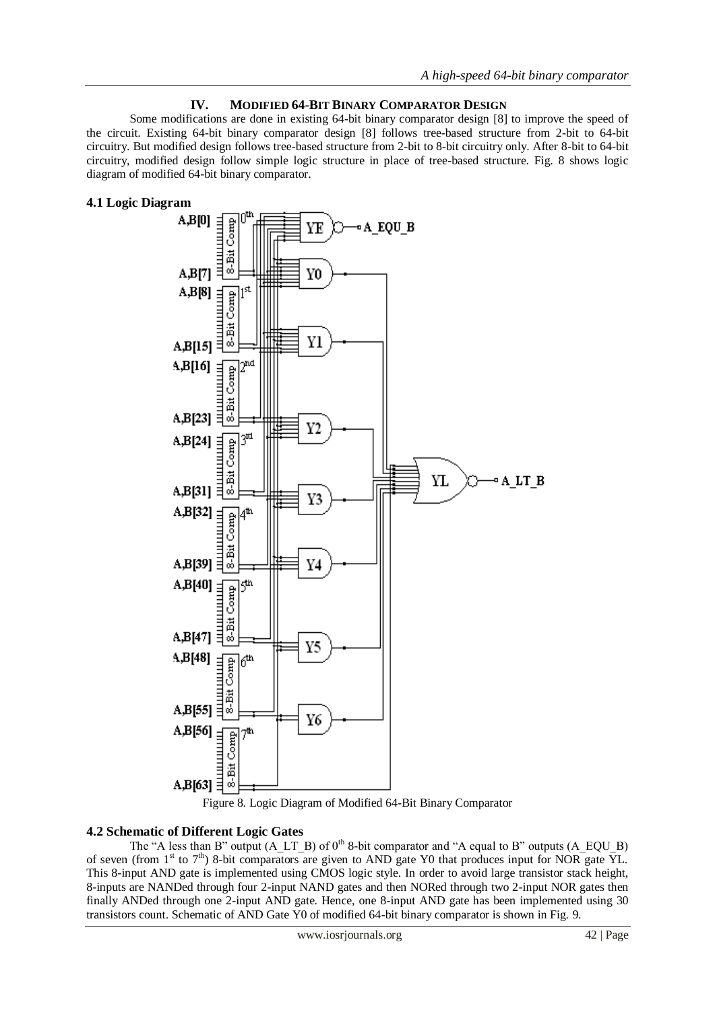## **IV. MODIFIED 64-BIT BINARY COMPARATOR DESIGN**

Some modifications are done in existing 64-bit binary comparator design [8] to improve the speed of the circuit. Existing 64-bit binary comparator design [8] follows tree-based structure from 2-bit to 64-bit circuitry. But modified design follows tree-based structure from 2-bit to 8-bit circuitry only. After 8-bit to 64-bit circuitry, modified design follow simple logic structure in place of tree-based structure. Fig. 8 shows logic diagram of modified 64-bit binary comparator.

## **4.1 Logic Diagram**





## **4.2 Schematic of Different Logic Gates**

The "A less than B" output (A\_LT\_B) of  $0<sup>th</sup>$  8-bit comparator and "A equal to B" outputs (A\_EQU\_B) of seven (from  $1^{st}$  to  $7^{th}$ ) 8-bit comparators are given to AND gate Y0 that produces input for NOR gate YL. This 8-input AND gate is implemented using CMOS logic style. In order to avoid large transistor stack height, 8-inputs are NANDed through four 2-input NAND gates and then NORed through two 2-input NOR gates then finally ANDed through one 2-input AND gate. Hence, one 8-input AND gate has been implemented using 30 transistors count. Schematic of AND Gate Y0 of modified 64-bit binary comparator is shown in Fig. 9.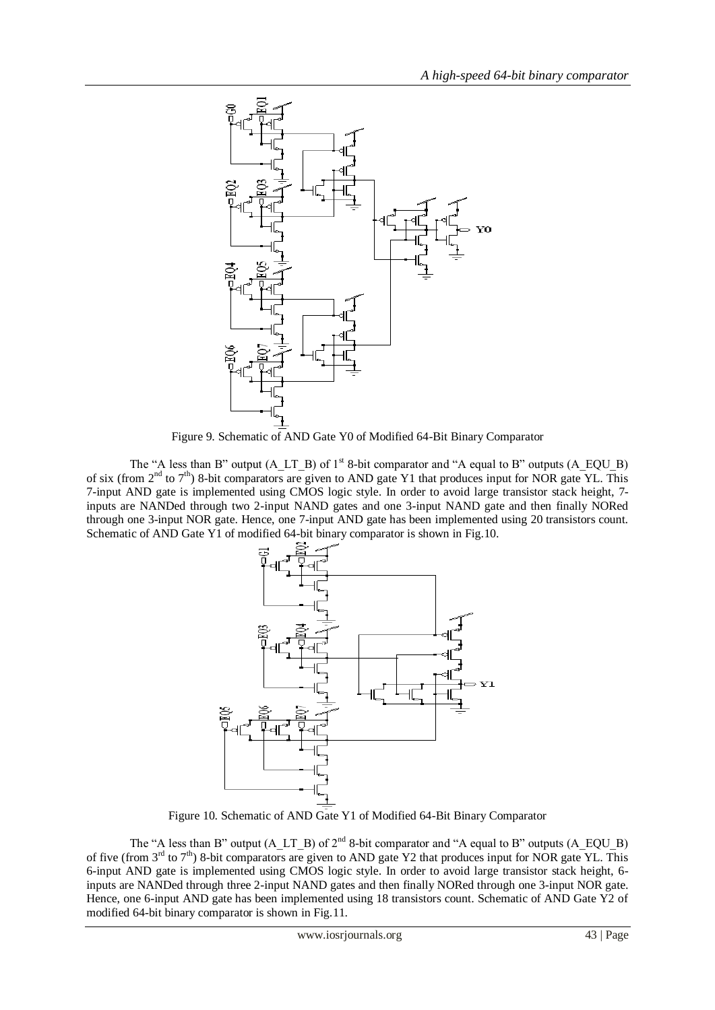

Figure 9. Schematic of AND Gate Y0 of Modified 64-Bit Binary Comparator

The "A less than B" output (A\_LT\_B) of  $1<sup>st</sup>$  8-bit comparator and "A equal to B" outputs (A\_EQU\_B) of six (from 2nd to 7th) 8-bit comparators are given to AND gate Y1 that produces input for NOR gate YL. This 7-input AND gate is implemented using CMOS logic style. In order to avoid large transistor stack height, 7 inputs are NANDed through two 2-input NAND gates and one 3-input NAND gate and then finally NORed through one 3-input NOR gate. Hence, one 7-input AND gate has been implemented using 20 transistors count. Schematic of AND Gate Y1 of modified 64-bit binary comparator is shown in Fig.10.



Figure 10. Schematic of AND Gate Y1 of Modified 64-Bit Binary Comparator

The "A less than B" output (A\_LT\_B) of  $2<sup>nd</sup>$  8-bit comparator and "A equal to B" outputs (A\_EQU\_B) of five (from  $3^{rd}$  to  $7^{th}$ ) 8-bit comparators are given to AND gate Y2 that produces input for NOR gate YL. This 6-input AND gate is implemented using CMOS logic style. In order to avoid large transistor stack height, 6 inputs are NANDed through three 2-input NAND gates and then finally NORed through one 3-input NOR gate. Hence, one 6-input AND gate has been implemented using 18 transistors count. Schematic of AND Gate Y2 of modified 64-bit binary comparator is shown in Fig.11.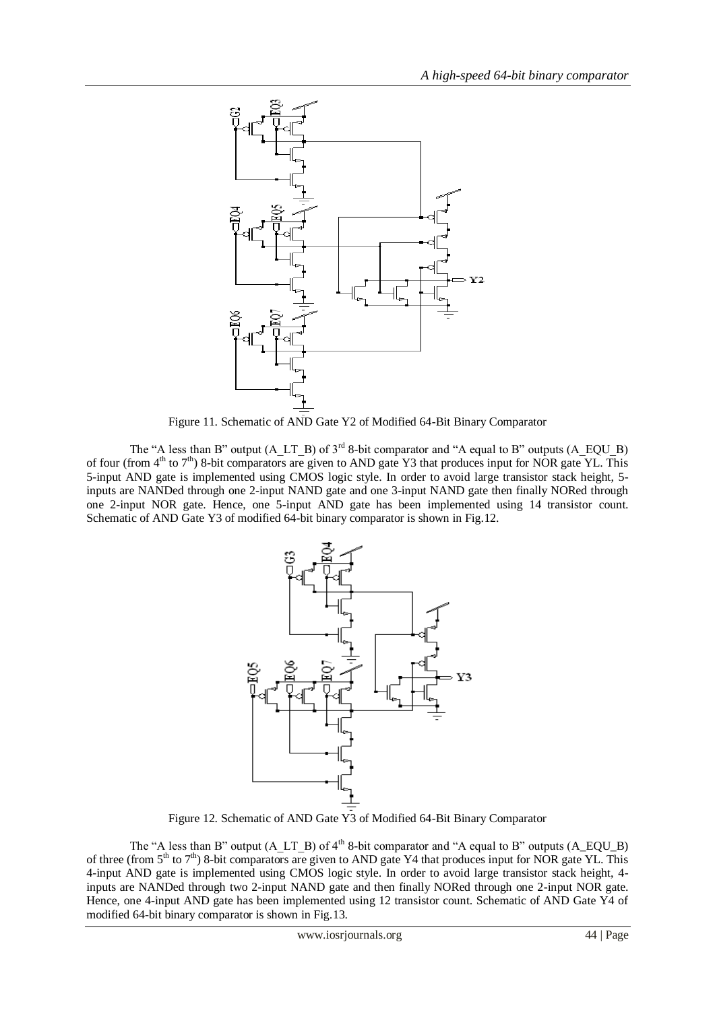

Figure 11. Schematic of AND Gate Y2 of Modified 64-Bit Binary Comparator

The "A less than B" output  $(A LT_B)$  of  $3<sup>rd</sup> 8-bit comparator and "A equal to B" outputs  $(A_EQU_B)$$ of four (from  $4<sup>th</sup>$  to  $7<sup>th</sup>$ ) 8-bit comparators are given to AND gate Y3 that produces input for NOR gate YL. This 5-input AND gate is implemented using CMOS logic style. In order to avoid large transistor stack height, 5 inputs are NANDed through one 2-input NAND gate and one 3-input NAND gate then finally NORed through one 2-input NOR gate. Hence, one 5-input AND gate has been implemented using 14 transistor count. Schematic of AND Gate Y3 of modified 64-bit binary comparator is shown in Fig.12.



Figure 12. Schematic of AND Gate Y3 of Modified 64-Bit Binary Comparator

The "A less than B" output (A\_LT\_B) of  $4<sup>th</sup>$  8-bit comparator and "A equal to B" outputs (A\_EQU\_B) of three (from  $5<sup>th</sup>$  to  $7<sup>th</sup>$ ) 8-bit comparators are given to AND gate Y4 that produces input for NOR gate YL. This 4-input AND gate is implemented using CMOS logic style. In order to avoid large transistor stack height, 4 inputs are NANDed through two 2-input NAND gate and then finally NORed through one 2-input NOR gate. Hence, one 4-input AND gate has been implemented using 12 transistor count. Schematic of AND Gate Y4 of modified 64-bit binary comparator is shown in Fig.13.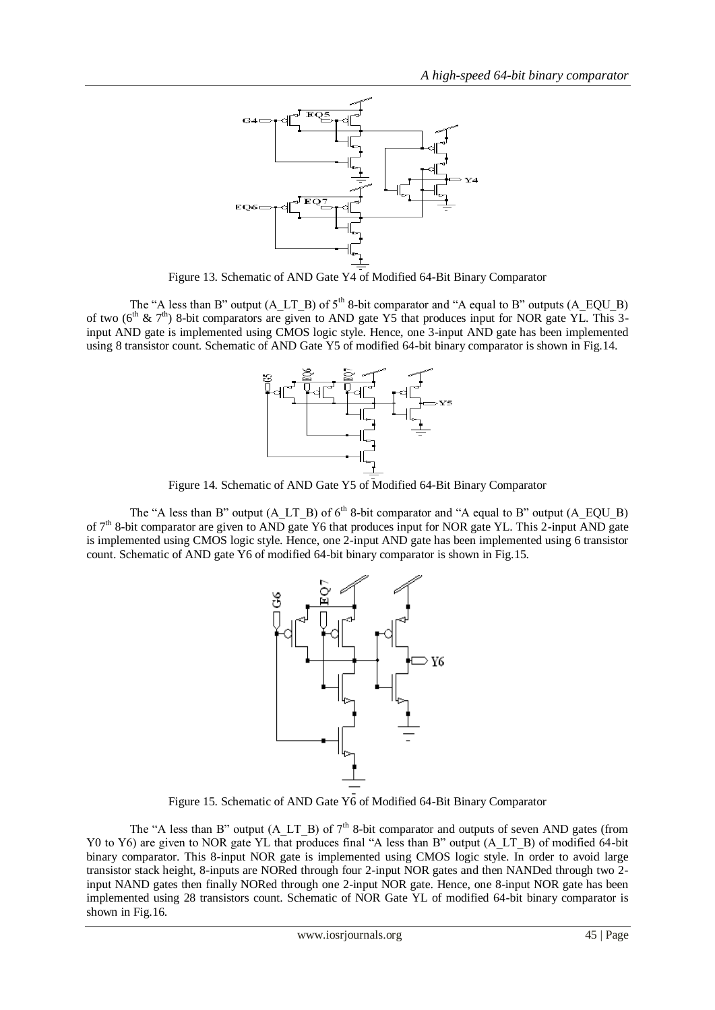

Figure 13. Schematic of AND Gate Y4 of Modified 64-Bit Binary Comparator

The "A less than B" output  $(A_LTT_B)$  of  $5<sup>th</sup>$  8-bit comparator and "A equal to B" outputs  $(A_EQU_B)$ of two ( $6<sup>th</sup>$  &  $7<sup>th</sup>$ ) 8-bit comparators are given to AND gate Y5 that produces input for NOR gate YL. This 3input AND gate is implemented using CMOS logic style. Hence, one 3-input AND gate has been implemented using 8 transistor count. Schematic of AND Gate Y5 of modified 64-bit binary comparator is shown in Fig.14.



Figure 14. Schematic of AND Gate Y5 of Modified 64-Bit Binary Comparator

The "A less than B" output  $(A_LTT_B)$  of  $6<sup>th</sup>$  8-bit comparator and "A equal to B" output  $(A_EQU_B)$ of  $7<sup>th</sup>$  8-bit comparator are given to AND gate Y6 that produces input for NOR gate YL. This 2-input AND gate is implemented using CMOS logic style. Hence, one 2-input AND gate has been implemented using 6 transistor count. Schematic of AND gate Y6 of modified 64-bit binary comparator is shown in Fig.15.



Figure 15. Schematic of AND Gate Y6 of Modified 64-Bit Binary Comparator

The "A less than B" output (A\_LT\_B) of  $7<sup>th</sup>$  8-bit comparator and outputs of seven AND gates (from Y0 to Y6) are given to NOR gate YL that produces final "A less than B" output (A\_LT\_B) of modified 64-bit binary comparator. This 8-input NOR gate is implemented using CMOS logic style. In order to avoid large transistor stack height, 8-inputs are NORed through four 2-input NOR gates and then NANDed through two 2 input NAND gates then finally NORed through one 2-input NOR gate. Hence, one 8-input NOR gate has been implemented using 28 transistors count. Schematic of NOR Gate YL of modified 64-bit binary comparator is shown in Fig.16.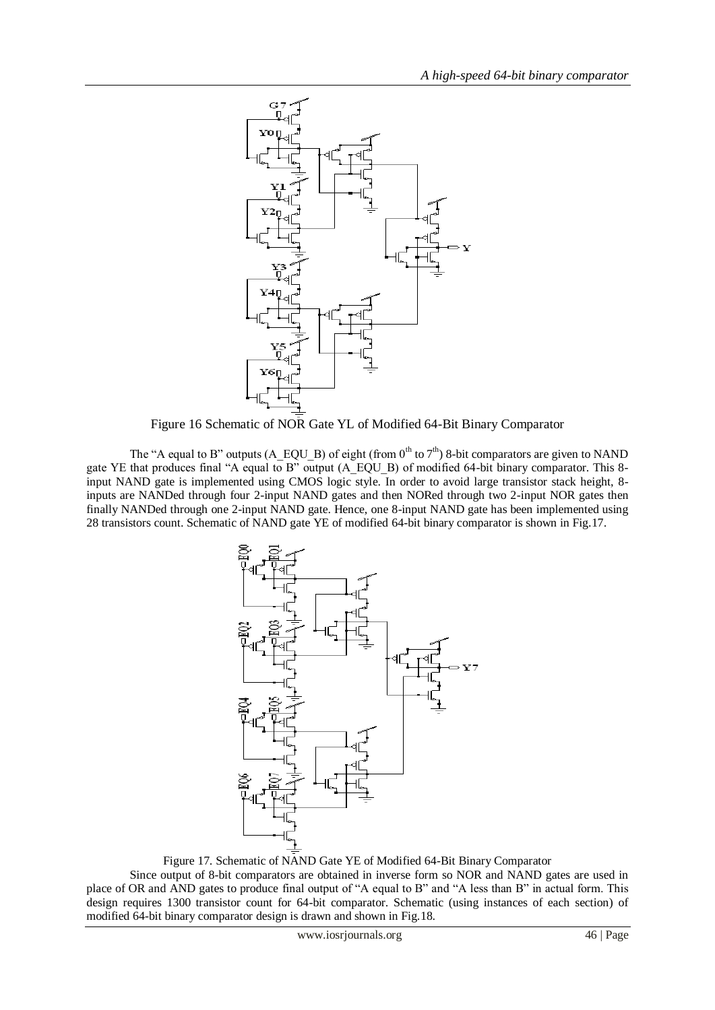

Figure 16 Schematic of NOR Gate YL of Modified 64-Bit Binary Comparator

The "A equal to B" outputs (A\_EQU\_B) of eight (from  $0<sup>th</sup>$  to  $7<sup>th</sup>$ ) 8-bit comparators are given to NAND gate YE that produces final "A equal to B" output (A\_EQU\_B) of modified 64-bit binary comparator. This 8 input NAND gate is implemented using CMOS logic style. In order to avoid large transistor stack height, 8 inputs are NANDed through four 2-input NAND gates and then NORed through two 2-input NOR gates then finally NANDed through one 2-input NAND gate. Hence, one 8-input NAND gate has been implemented using 28 transistors count. Schematic of NAND gate YE of modified 64-bit binary comparator is shown in Fig.17.



Figure 17. Schematic of NAND Gate YE of Modified 64-Bit Binary Comparator

Since output of 8-bit comparators are obtained in inverse form so NOR and NAND gates are used in place of OR and AND gates to produce final output of "A equal to B" and "A less than B" in actual form. This design requires 1300 transistor count for 64-bit comparator. Schematic (using instances of each section) of modified 64-bit binary comparator design is drawn and shown in Fig.18.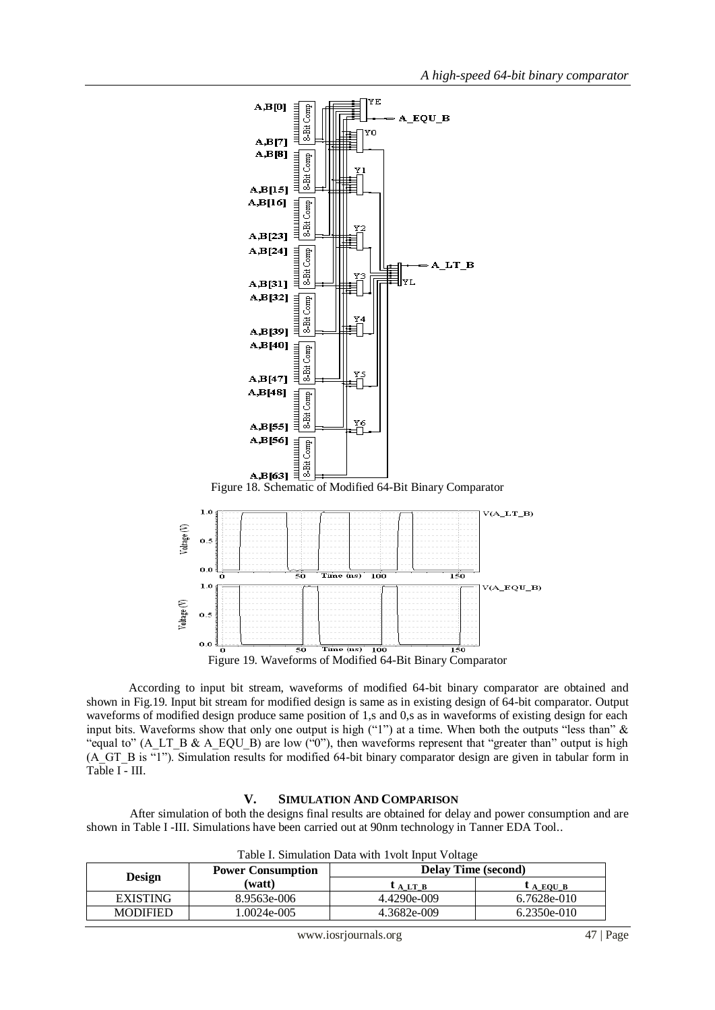

 According to input bit stream, waveforms of modified 64-bit binary comparator are obtained and shown in Fig.19. Input bit stream for modified design is same as in existing design of 64-bit comparator. Output waveforms of modified design produce same position of 1,s and 0,s as in waveforms of existing design for each input bits. Waveforms show that only one output is high  $("1")$  at a time. When both the outputs "less than"  $\&$ "equal to" (A\_LT\_B & A\_EQU\_B) are low ("0"), then waveforms represent that "greater than" output is high (A\_GT\_B is "1"). Simulation results for modified 64-bit binary comparator design are given in tabular form in Table I - III.

#### **V. SIMULATION AND COMPARISON**

After simulation of both the designs final results are obtained for delay and power consumption and are shown in Table I -III. Simulations have been carried out at 90nm technology in Tanner EDA Tool..

| <b>Design</b>   | <b>Power Consumption</b> | Table 1. Shinuation Data with Tyon hiput Vonage<br><b>Delay Time (second)</b> |                 |
|-----------------|--------------------------|-------------------------------------------------------------------------------|-----------------|
|                 | (watt)                   | $L$ A LT B                                                                    | $\iota$ a EQU B |
| <b>EXISTING</b> | 8.9563e-006              | 4.4290e-009                                                                   | 6.7628e-010     |
| <b>MODIFIED</b> | 1.0024e-005              | 4.3682e-009                                                                   | $6.2350e-010$   |

Table I. Simulation Data with 1volt Input Voltage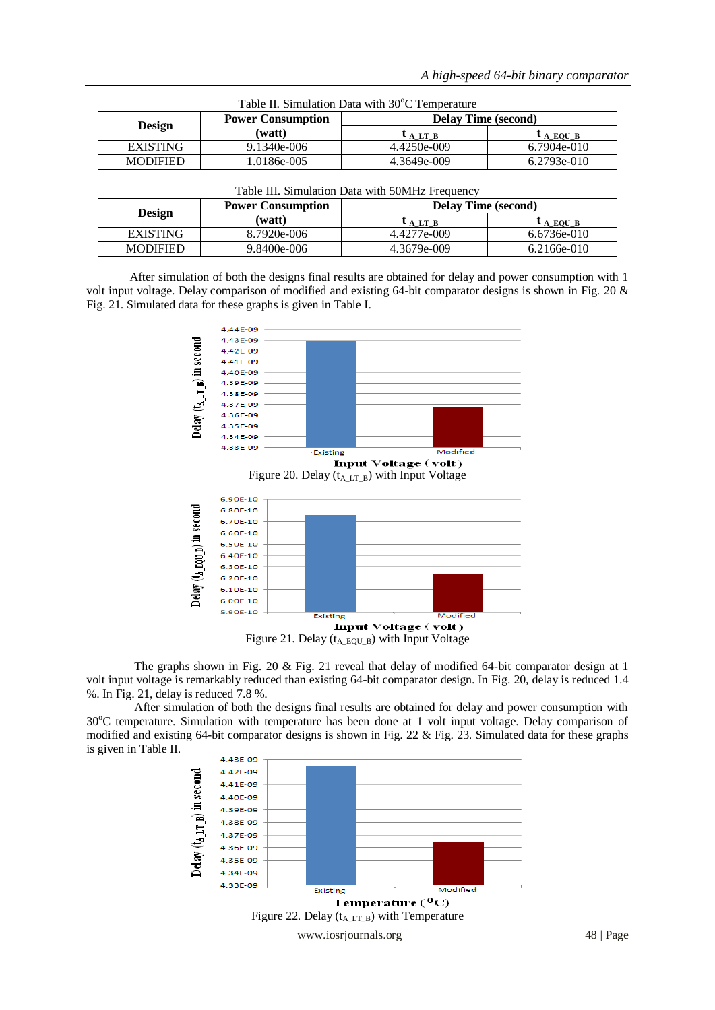| Table II. Simulation Data with 30°C Temperature |                          |                            |               |  |  |  |
|-------------------------------------------------|--------------------------|----------------------------|---------------|--|--|--|
| <b>Design</b>                                   | <b>Power Consumption</b> | <b>Delay Time (second)</b> |               |  |  |  |
|                                                 | (watt)                   | $L_{A L T B}$              | $L_{A}$ EQU B |  |  |  |
| <b>EXISTING</b>                                 | $9.1340e - 006$          | 4.4250e-009                | 6.7904e-010   |  |  |  |
| <b>MODIFIED</b>                                 | 1.0186e-005              | 4.3649e-009                | 6.2793e-010   |  |  |  |

| <b>Design</b>   | <b>Power Consumption</b> | <b>Delay Time (second)</b> |             |
|-----------------|--------------------------|----------------------------|-------------|
|                 | (watt)                   | $L$ A LT B                 | $L$ A EQU B |
| <b>EXISTING</b> | 8.7920e-006              | 4.4277e-009                | 6.6736e-010 |
| <b>MODIFIED</b> | 9.8400e-006              | 4.3679e-009                | 6.2166e-010 |

After simulation of both the designs final results are obtained for delay and power consumption with 1 volt input voltage. Delay comparison of modified and existing 64-bit comparator designs is shown in Fig. 20 & Fig. 21. Simulated data for these graphs is given in Table I.



Figure 20. Delay ( $t_{A L T B}$ ) with Input Voltage



Figure 21. Delay ( $t_{A_EQU_B}$ ) with Input Voltage

The graphs shown in Fig. 20  $\&$  Fig. 21 reveal that delay of modified 64-bit comparator design at 1 volt input voltage is remarkably reduced than existing 64-bit comparator design. In Fig. 20, delay is reduced 1.4 %. In Fig. 21, delay is reduced 7.8 %.

 After simulation of both the designs final results are obtained for delay and power consumption with 30°C temperature. Simulation with temperature has been done at 1 volt input voltage. Delay comparison of modified and existing 64-bit comparator designs is shown in Fig. 22  $\&$  Fig. 23. Simulated data for these graphs is given in Table II.

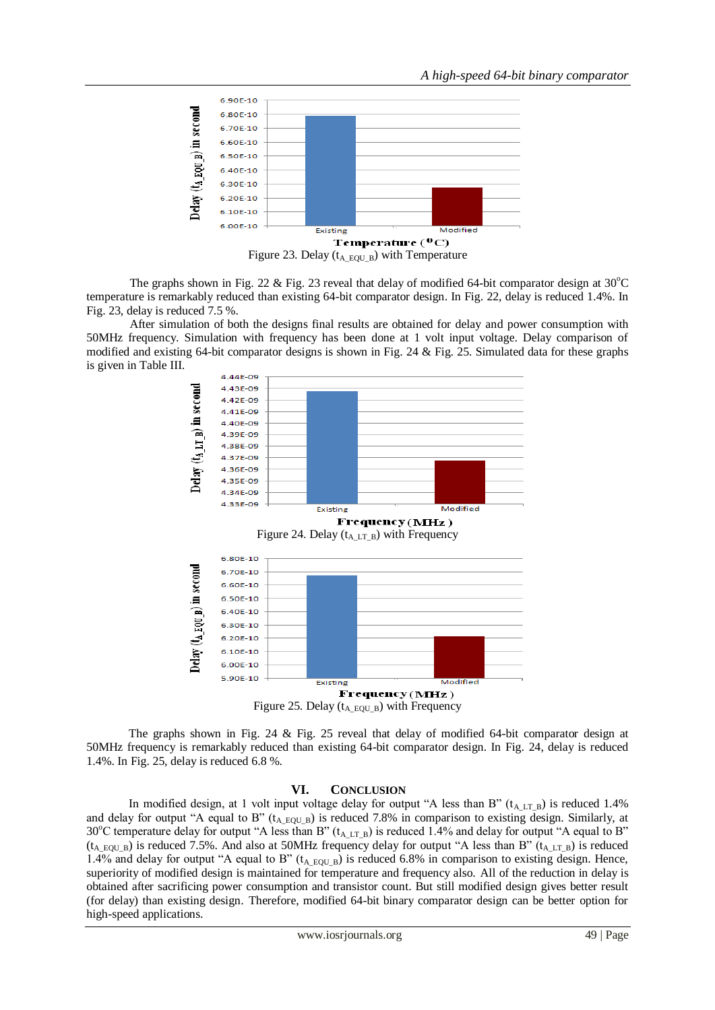

The graphs shown in Fig. 22  $\&$  Fig. 23 reveal that delay of modified 64-bit comparator design at 30 °C temperature is remarkably reduced than existing 64-bit comparator design. In Fig. 22, delay is reduced 1.4%. In Fig. 23, delay is reduced 7.5 %.

After simulation of both the designs final results are obtained for delay and power consumption with 50MHz frequency. Simulation with frequency has been done at 1 volt input voltage. Delay comparison of modified and existing 64-bit comparator designs is shown in Fig. 24 & Fig. 25. Simulated data for these graphs is given in Table III.



 The graphs shown in Fig. 24 & Fig. 25 reveal that delay of modified 64-bit comparator design at 50MHz frequency is remarkably reduced than existing 64-bit comparator design. In Fig. 24, delay is reduced 1.4%. In Fig. 25, delay is reduced 6.8 %.

#### **VI. CONCLUSION**

In modified design, at 1 volt input voltage delay for output "A less than B" (t<sub>A LT-B</sub>) is reduced 1.4% and delay for output "A equal to B" ( $t_{A EQUB}$ ) is reduced 7.8% in comparison to existing design. Similarly, at 30°C temperature delay for output "A less than B" ( $t_{A L T B}$ ) is reduced 1.4% and delay for output "A equal to B"  $(t_{A EQUB})$  is reduced 7.5%. And also at 50MHz frequency delay for output "A less than B"  $(t_{A LTB})$  is reduced 1.4% and delay for output "A equal to B" ( $t_{A EQUB}$ ) is reduced 6.8% in comparison to existing design. Hence, superiority of modified design is maintained for temperature and frequency also. All of the reduction in delay is obtained after sacrificing power consumption and transistor count. But still modified design gives better result (for delay) than existing design. Therefore, modified 64-bit binary comparator design can be better option for high-speed applications.